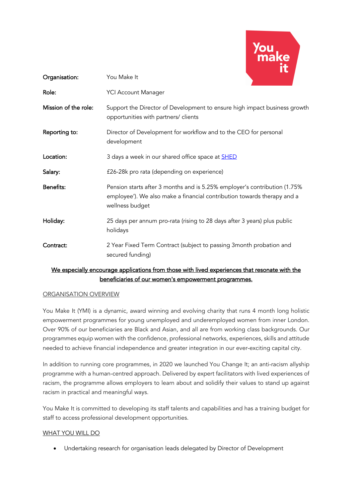

| Organisation:                                                                                 | You Make It                                                                                                                                                             |
|-----------------------------------------------------------------------------------------------|-------------------------------------------------------------------------------------------------------------------------------------------------------------------------|
| Role:                                                                                         | <b>YCI Account Manager</b>                                                                                                                                              |
| Mission of the role:                                                                          | Support the Director of Development to ensure high impact business growth<br>opportunities with partners/ clients                                                       |
| Reporting to:                                                                                 | Director of Development for workflow and to the CEO for personal<br>development                                                                                         |
| Location:                                                                                     | 3 days a week in our shared office space at <b>SHED</b>                                                                                                                 |
| Salary:                                                                                       | £26-28k pro rata (depending on experience)                                                                                                                              |
| Benefits:                                                                                     | Pension starts after 3 months and is 5.25% employer's contribution (1.75%<br>employee'). We also make a financial contribution towards therapy and a<br>wellness budget |
| Holiday:                                                                                      | 25 days per annum pro-rata (rising to 28 days after 3 years) plus public<br>holidays                                                                                    |
| Contract:                                                                                     | 2 Year Fixed Term Contract (subject to passing 3month probation and<br>secured funding)                                                                                 |
| We especially encourage applications from those with lived experiences that resonate with the |                                                                                                                                                                         |

## We especially encourage applications from those with lived experiences that resonate with the beneficiaries of our women's empowerment programmes.

## ORGANISATION OVERVIEW

You Make It (YMI) is a dynamic, award winning and evolving charity that runs 4 month long holistic empowerment programmes for young unemployed and underemployed women from inner London. Over 90% of our beneficiaries are Black and Asian, and all are from working class backgrounds. Our programmes equip women with the confidence, professional networks, experiences, skills and attitude needed to achieve financial independence and greater integration in our ever-exciting capital city.

In addition to running core programmes, in 2020 we launched You Change It; an anti-racism allyship programme with a human-centred approach. Delivered by expert facilitators with lived experiences of racism, the programme allows employers to learn about and solidify their values to stand up against racism in practical and meaningful ways.

You Make It is committed to developing its staff talents and capabilities and has a training budget for staff to access professional development opportunities.

## WHAT YOU WILL DO

• Undertaking research for organisation leads delegated by Director of Development